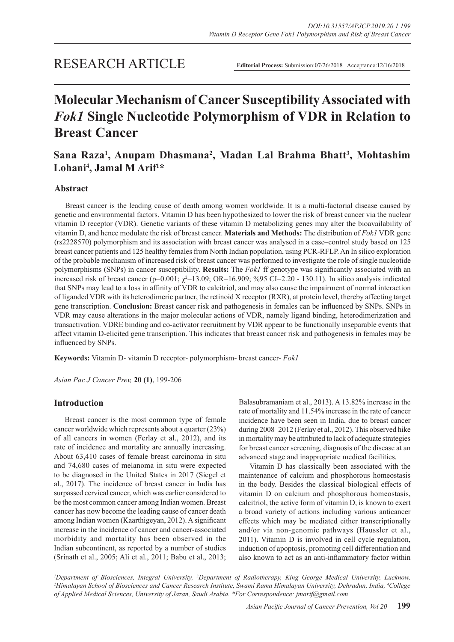**Editorial Process:** Submission:07/26/2018 Acceptance:12/16/2018

# **Molecular Mechanism of Cancer Susceptibility Associated with**  *Fok1* **Single Nucleotide Polymorphism of VDR in Relation to Breast Cancer**

# **Sana Raza1 , Anupam Dhasmana2 , Madan Lal Brahma Bhatt3 , Mohtashim Lohani4 , Jamal M Arif1 \***

# **Abstract**

Breast cancer is the leading cause of death among women worldwide. It is a multi-factorial disease caused by genetic and environmental factors. Vitamin D has been hypothesized to lower the risk of breast cancer via the nuclear vitamin D receptor (VDR). Genetic variants of these vitamin D metabolizing genes may alter the bioavailability of vitamin D, and hence modulate the risk of breast cancer. **Materials and Methods:** The distribution of *Fok1* VDR gene (rs2228570) polymorphism and its association with breast cancer was analysed in a case–control study based on 125 breast cancer patients and 125 healthy females from North Indian population, using PCR-RFLP. An In silico exploration of the probable mechanism of increased risk of breast cancer was performed to investigate the role of single nucleotide polymorphisms (SNPs) in cancer susceptibility. **Results:** The *Fok1* ff genotype was significantly associated with an increased risk of breast cancer (p=0.001;  $\chi^2$ =13.09; OR=16.909; %95 CI=2.20 - 130.11). In silico analysis indicated that SNPs may lead to a loss in affinity of VDR to calcitriol, and may also cause the impairment of normal interaction of liganded VDR with its heterodimeric partner, the retinoid X receptor (RXR), at protein level, thereby affecting target gene transcription. **Conclusion:** Breast cancer risk and pathogenesis in females can be influenced by SNPs. SNPs in VDR may cause alterations in the major molecular actions of VDR, namely ligand binding, heterodimerization and transactivation. VDRE binding and co-activator recruitment by VDR appear to be functionally inseparable events that affect vitamin D-elicited gene transcription. This indicates that breast cancer risk and pathogenesis in females may be influenced by SNPs.

**Keywords:** Vitamin D- vitamin D receptor- polymorphism- breast cancer- *Fok1*

*Asian Pac J Cancer Prev,* **20 (1)**, 199-206

# **Introduction**

Breast cancer is the most common type of female cancer worldwide which represents about a quarter (23%) of all cancers in women (Ferlay et al., 2012), and its rate of incidence and mortality are annually increasing. About 63,410 cases of female breast carcinoma in situ and 74,680 cases of melanoma in situ were expected to be diagnosed in the United States in 2017 (Siegel et al., 2017). The incidence of breast cancer in India has surpassed cervical cancer, which was earlier considered to be the most common cancer among Indian women. Breast cancer has now become the leading cause of cancer death among Indian women (Kaarthigeyan, 2012). A significant increase in the incidence of cancer and cancer-associated morbidity and mortality has been observed in the Indian subcontinent, as reported by a number of studies (Srinath et al., 2005; Ali et al., 2011; Babu et al., 2013;

Balasubramaniam et al., 2013). A 13.82% increase in the rate of mortality and 11.54% increase in the rate of cancer incidence have been seen in India, due to breast cancer during 2008–2012 (Ferlay et al., 2012). This observed hike in mortality may be attributed to lack of adequate strategies for breast cancer screening, diagnosis of the disease at an advanced stage and inappropriate medical facilities.

Vitamin D has classically been associated with the maintenance of calcium and phosphorous homeostasis in the body. Besides the classical biological effects of vitamin D on calcium and phosphorous homeostasis, calcitriol, the active form of vitamin D, is known to exert a broad variety of actions including various anticancer effects which may be mediated either transcriptionally and/or via non-genomic pathways (Haussler et al., 2011). Vitamin D is involved in cell cycle regulation, induction of apoptosis, promoting cell differentiation and also known to act as an anti-inflammatory factor within

*<sup>1</sup>Department of Biosciences, Integral University, <sup>3</sup>Department of Radiotherapy, King George Medical University, Lucknow, <br><sup>2</sup>Himalayan School of Biosciences and Cancer Research Institute Swami Rama Himalayan University Himalayan School of Biosciences and Cancer Research Institute, Swami Rama Himalayan University, Dehradun, India, 4 College of Applied Medical Sciences, University of Jazan, Saudi Arabia. \*For Correspondence: jmarif@gmail.com*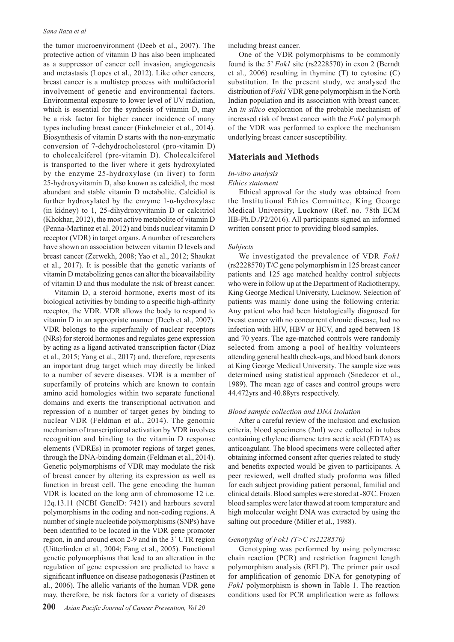#### *Sana Raza et al*

the tumor microenvironment (Deeb et al., 2007). The protective action of vitamin D has also been implicated as a suppressor of cancer cell invasion, angiogenesis and metastasis (Lopes et al., 2012). Like other cancers, breast cancer is a multistep process with multifactorial involvement of genetic and environmental factors. Environmental exposure to lower level of UV radiation, which is essential for the synthesis of vitamin D, may be a risk factor for higher cancer incidence of many types including breast cancer (Finkelmeier et al., 2014). Biosynthesis of vitamin D starts with the non-enzymatic conversion of 7-dehydrocholesterol (pro-vitamin D) to cholecalciferol (pre-vitamin D). Cholecalciferol is transported to the liver where it gets hydroxylated by the enzyme 25-hydroxylase (in liver) to form 25-hydroxyvitamin D, also known as calcidiol, the most abundant and stable vitamin D metabolite. Calcidiol is further hydroxylated by the enzyme 1-α-hydroxylase (in kidney) to 1, 25-dihydroxyvitamin D or calcitriol (Khokhar, 2012), the most active metabolite of vitamin D (Penna-Martinez et al. 2012) and binds nuclear vitamin D receptor (VDR) in target organs. A number of researchers have shown an association between vitamin D levels and breast cancer (Zerwekh, 2008; Yao et al., 2012; Shaukat et al., 2017). It is possible that the genetic variants of vitamin D metabolizing genes can alter the bioavailability of vitamin D and thus modulate the risk of breast cancer.

Vitamin D, a steroid hormone, exerts most of its biological activities by binding to a specific high-affinity receptor, the VDR. VDR allows the body to respond to vitamin D in an appropriate manner (Deeb et al., 2007). VDR belongs to the superfamily of nuclear receptors (NRs) for steroid hormones and regulates gene expression by acting as a ligand activated transcription factor (Díaz et al., 2015; Yang et al., 2017) and, therefore, represents an important drug target which may directly be linked to a number of severe diseases. VDR is a member of superfamily of proteins which are known to contain amino acid homologies within two separate functional domains and exerts the transcriptional activation and repression of a number of target genes by binding to nuclear VDR (Feldman et al., 2014). The genomic mechanism of transcriptional activation by VDR involves recognition and binding to the vitamin D response elements (VDREs) in promoter regions of target genes, through the DNA-binding domain (Feldman et al., 2014). Genetic polymorphisms of VDR may modulate the risk of breast cancer by altering its expression as well as function in breast cell. The gene encoding the human VDR is located on the long arm of chromosome 12 i.e. 12q.13.11 (NCBI GeneID: 7421) and harbours several polymorphisms in the coding and non-coding regions. A number of single nucleotide polymorphisms (SNPs) have been identified to be located in the VDR gene promoter region, in and around exon 2-9 and in the 3´ UTR region (Uitterlinden et al., 2004; Fang et al., 2005). Functional genetic polymorphisms that lead to an alteration in the regulation of gene expression are predicted to have a significant influence on disease pathogenesis (Pastinen et al., 2006). The allelic variants of the human VDR gene may, therefore, be risk factors for a variety of diseases

including breast cancer.

One of the VDR polymorphisms to be commonly found is the 5' *Fok1* site (rs2228570) in exon 2 (Berndt et al., 2006) resulting in thymine (T) to cytosine (C) substitution. In the present study, we analysed the distribution of *Fok1* VDR gene polymorphism in the North Indian population and its association with breast cancer. An *in silico* exploration of the probable mechanism of increased risk of breast cancer with the *Fok1* polymorph of the VDR was performed to explore the mechanism underlying breast cancer susceptibility.

# **Materials and Methods**

# *In-vitro analysis*

#### *Ethics statement*

Ethical approval for the study was obtained from the Institutional Ethics Committee, King George Medical University, Lucknow (Ref. no. 78th ECM IIB-Ph.D./P2/2016). All participants signed an informed written consent prior to providing blood samples.

#### *Subjects*

We investigated the prevalence of VDR *Fok1* (rs2228570) T/C gene polymorphism in 125 breast cancer patients and 125 age matched healthy control subjects who were in follow up at the Department of Radiotherapy, King George Medical University, Lucknow. Selection of patients was mainly done using the following criteria: Any patient who had been histologically diagnosed for breast cancer with no concurrent chronic disease, had no infection with HIV, HBV or HCV, and aged between 18 and 70 years. The age-matched controls were randomly selected from among a pool of healthy volunteers attending general health check-ups, and blood bank donors at King George Medical University. The sample size was determined using statistical approach (Snedecor et al., 1989). The mean age of cases and control groups were 44.472yrs and 40.88yrs respectively.

#### *Blood sample collection and DNA isolation*

After a careful review of the inclusion and exclusion criteria, blood specimens (2ml) were collected in tubes containing ethylene diamene tetra acetic acid (EDTA) as anticoagulant. The blood specimens were collected after obtaining informed consent after queries related to study and benefits expected would be given to participants. A peer reviewed, well drafted study proforma was filled for each subject providing patient personal, familial and clinical details. Blood samples were stored at -80̊ C. Frozen blood samples were later thawed at room temperature and high molecular weight DNA was extracted by using the salting out procedure (Miller et al., 1988).

#### *Genotyping of Fok1 (T>C rs2228570)*

Genotyping was performed by using polymerase chain reaction (PCR) and restriction fragment length polymorphism analysis (RFLP). The primer pair used for amplification of genomic DNA for genotyping of *Fok1* polymorphism is shown in Table 1. The reaction conditions used for PCR amplification were as follows: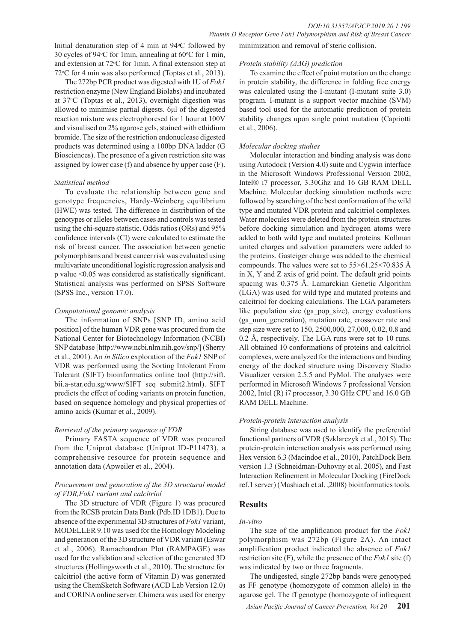Initial denaturation step of 4 min at 94°C followed by 30 cycles of 94 $\degree$ C for 1 min, annealing at 60 $\degree$ C for 1 min, and extension at 72 °C for 1min. A final extension step at  $72^{\circ}$ C for 4 min was also performed (Toptas et al., 2013).

The 272bp PCR product was digested with 1U of *Fok1* restriction enzyme (New England Biolabs) and incubated at 37°C (Toptas et al., 2013), overnight digestion was allowed to minimise partial digests. 6μl of the digested reaction mixture was electrophoresed for 1 hour at 100V and visualised on 2% agarose gels, stained with ethidium bromide. The size of the restriction endonuclease digested products was determined using a 100bp DNA ladder (G Biosciences). The presence of a given restriction site was assigned by lower case (f) and absence by upper case (F).

#### *Statistical method*

To evaluate the relationship between gene and genotype frequencies, Hardy-Weinberg equilibrium (HWE) was tested. The difference in distribution of the genotypes or alleles between cases and controls was tested using the chi-square statistic. Odds ratios (ORs) and 95% confidence intervals (CI) were calculated to estimate the risk of breast cancer. The association between genetic polymorphisms and breast cancer risk was evaluated using multivariate unconditional logistic regression analysis and p value <0.05 was considered as statistically significant. Statistical analysis was performed on SPSS Software (SPSS Inc., version 17.0).

#### *Computational genomic analysis*

The information of SNPs [SNP ID, amino acid position] of the human VDR gene was procured from the National Center for Biotechnology Information (NCBI) SNP database [http://www.ncbi.nlm.nih.gov/snp/] (Sherry et al., 2001). An *in Silico* exploration of the *Fok1* SNP of VDR was performed using the Sorting Intolerant From Tolerant (SIFT) bioinformatics online tool (http://sift. bii.a-star.edu.sg/www/SIFT\_seq\_submit2.html). SIFT predicts the effect of coding variants on protein function, based on sequence homology and physical properties of amino acids (Kumar et al., 2009).

#### *Retrieval of the primary sequence of VDR*

Primary FASTA sequence of VDR was procured from the Uniprot database (Uniprot ID-P11473), a comprehensive resource for protein sequence and annotation data (Apweiler et al., 2004).

#### *Procurement and generation of the 3D structural model of VDR,Fok1 variant and calcitriol*

The 3D structure of VDR (Figure 1) was procured from the RCSB protein Data Bank (Pdb.ID 1DB1). Due to absence of the experimental 3D structures of *Fok1* variant, MODELLER 9.10 was used for the Homology Modeling and generation of the 3D structure of VDR variant (Eswar et al., 2006). Ramachandran Plot (RAMPAGE) was used for the validation and selection of the generated 3D structures (Hollingsworth et al., 2010). The structure for calcitriol (the active form of Vitamin D) was generated using the ChemSketch Software (ACD Lab Version 12.0) and CORINA online server. Chimera was used for energy

minimization and removal of steric collision.

#### *Protein stability (ΔΔG) prediction*

To examine the effect of point mutation on the change in protein stability, the difference in folding free energy was calculated using the I-mutant (I-mutant suite 3.0) program. I-mutant is a support vector machine (SVM) based tool used for the automatic prediction of protein stability changes upon single point mutation (Capriotti et al., 2006).

#### *Molecular docking studies*

Molecular interaction and binding analysis was done using Autodock (Version 4.0) suite and Cygwin interface in the Microsoft Windows Professional Version 2002, Intel® i7 processor, 3.30Ghz and 16 GB RAM DELL Machine. Molecular docking simulation methods were followed by searching of the best conformation of the wild type and mutated VDR protein and calcitriol complexes. Water molecules were deleted from the protein structures before docking simulation and hydrogen atoms were added to both wild type and mutated proteins. Kollman united charges and salvation parameters were added to the proteins. Gasteiger charge was added to the chemical compounds. The values were set to  $55\times61.25\times70.835$  Å in X, Y and Z axis of grid point. The default grid points spacing was 0.375 Å. Lamarckian Genetic Algorithm (LGA) was used for wild type and mutated proteins and calcitriol for docking calculations. The LGA parameters like population size (ga\_pop\_size), energy evaluations (ga\_num\_generation), mutation rate, crossover rate and step size were set to 150, 2500,000, 27,000, 0.02, 0.8 and 0.2 Å, respectively. The LGA runs were set to 10 runs. All obtained 10 conformations of proteins and calcitriol complexes, were analyzed for the interactions and binding energy of the docked structure using Discovery Studio Visualizer version 2.5.5 and PyMol. The analyses were performed in Microsoft Windows 7 professional Version 2002, Intel (R) i7 processor, 3.30 GHz CPU and 16.0 GB RAM DELL Machine.

#### *Protein-protein interaction analysis*

String database was used to identify the preferential functional partners of VDR (Szklarczyk et al., 2015). The protein-protein interaction analysis was performed using Hex version 6.3 (Macindoe et al., 2010), PatchDock Beta version 1.3 (Schneidman-Duhovny et al. 2005), and Fast Interaction Refinement in Molecular Docking (FireDock ref.1 server) (Mashiach et al. ,2008) bioinformatics tools.

# **Results**

#### *In-vitro*

The size of the amplification product for the *Fok1* polymorphism was 272bp (Figure 2A). An intact amplification product indicated the absence of *Fok1* restriction site (F), while the presence of the *Fok1* site (f) was indicated by two or three fragments.

The undigested, single 272bp bands were genotyped as FF genotype (homozygote of common allele) in the agarose gel. The ff genotype (homozygote of infrequent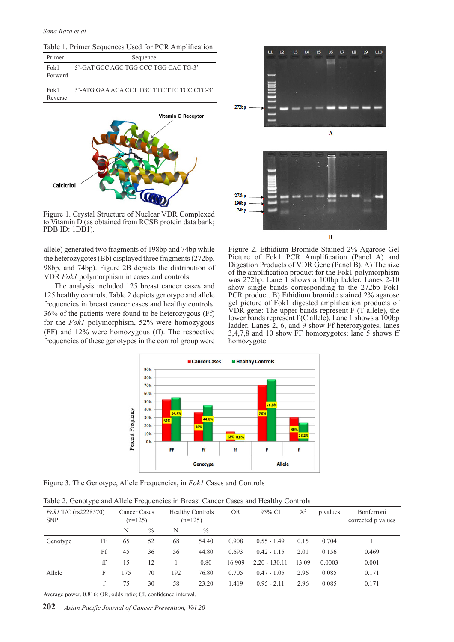| Primer           | Sequence                             |  |  |  |  |  |  |
|------------------|--------------------------------------|--|--|--|--|--|--|
| Fok 1<br>Forward | 5'-GAT GCC AGC TGG CCC TGG CAC TG-3' |  |  |  |  |  |  |

Fok1 Reverse 5'-ATG GAA ACA CCT TGC TTC TTC TCC CTC-3'



Figure 1. Crystal Structure of Nuclear VDR Complexed to Vitamin D (as obtained from RCSB protein data bank; PDB ID: 1DB1).

allele) generated two fragments of 198bp and 74bp while the heterozygotes (Bb) displayed three fragments (272bp, 98bp, and 74bp). Figure 2B depicts the distribution of VDR *Fok1* polymorphism in cases and controls.

The analysis included 125 breast cancer cases and 125 healthy controls. Table 2 depicts genotype and allele frequencies in breast cancer cases and healthy controls. 36% of the patients were found to be heterozygous (Ff) for the *Fok1* polymorphism, 52% were homozygous (FF) and 12% were homozygous (ff). The respective frequencies of these genotypes in the control group were



Figure 2. Ethidium Bromide Stained 2% Agarose Gel Picture of Fok1 PCR Amplification (Panel A) and Digestion Products of VDR Gene (Panel B). A) The size of the amplification product for the Fok1 polymorphism was 272bp. Lane 1 shows a 100bp ladder. Lanes 2-10 show single bands corresponding to the 272bp Fok1 PCR product. B) Ethidium bromide stained 2% agarose gel picture of Fok1 digested amplification products of  $V\overrightarrow{DR}$  gene: The upper bands represent  $F(T\overrightarrow{allele})$ , the lower bands represent f (C allele). Lane 1 shows a 100bp ladder. Lanes 2, 6, and 9 show Ff heterozygotes; lanes 3,4,7,8 and 10 show FF homozygotes; lane 5 shows ff homozygote.



Figure 3. The Genotype, Allele Frequencies, in *Fok1* Cases and Controls

|  |  |  | Table 2. Genotype and Allele Frequencies in Breast Cancer Cases and Healthy Controls |  |
|--|--|--|--------------------------------------------------------------------------------------|--|
|  |  |  |                                                                                      |  |

| <i>Fok1</i> T/C (rs2228570)<br><b>SNP</b> |    | Cancer Cases<br>$(n=125)$ |               |     | <b>Healthy Controls</b><br>$(n=125)$ | <b>OR</b> | 95% CI          | $X^2$ | p values | Bonferroni<br>corrected p values |
|-------------------------------------------|----|---------------------------|---------------|-----|--------------------------------------|-----------|-----------------|-------|----------|----------------------------------|
|                                           |    | N                         | $\frac{0}{0}$ | N   | $\frac{0}{0}$                        |           |                 |       |          |                                  |
| Genotype                                  | FF | 65                        | 52            | 68  | 54.40                                | 0.908     | $0.55 - 1.49$   | 0.15  | 0.704    |                                  |
|                                           | Ff | 45                        | 36            | 56  | 44.80                                | 0.693     | $0.42 - 1.15$   | 2.01  | 0.156    | 0.469                            |
|                                           | ff | 15                        | 12            |     | 0.80                                 | 16.909    | $2.20 - 130.11$ | 13.09 | 0.0003   | 0.001                            |
| Allele                                    | F  | 175                       | 70            | 192 | 76.80                                | 0.705     | $0.47 - 1.05$   | 2.96  | 0.085    | 0.171                            |
|                                           |    | 75                        | 30            | 58  | 23.20                                | 1.419     | $0.95 - 2.11$   | 2.96  | 0.085    | 0.171                            |

Average power, 0.816; OR, odds ratio; CI, confidence interval.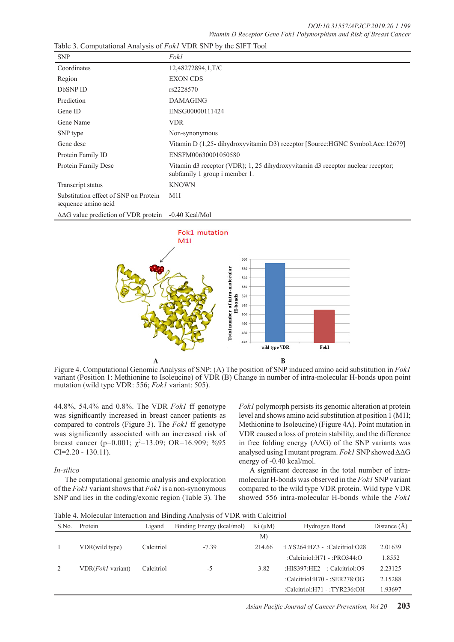| <b>SNP</b>                                                   | Fokl                                                                                                             |
|--------------------------------------------------------------|------------------------------------------------------------------------------------------------------------------|
| Coordinates                                                  | 12,48272894,1,T/C                                                                                                |
| Region                                                       | <b>EXON CDS</b>                                                                                                  |
| DbSNP ID                                                     | rs2228570                                                                                                        |
| Prediction                                                   | <b>DAMAGING</b>                                                                                                  |
| Gene ID                                                      | ENSG00000111424                                                                                                  |
| Gene Name                                                    | <b>VDR</b>                                                                                                       |
| SNP type                                                     | Non-synonymous                                                                                                   |
| Gene desc                                                    | Vitamin D (1,25- dihydroxyvitamin D3) receptor [Source: HGNC Symbol; Acc: 12679]                                 |
| Protein Family ID                                            | ENSFM00630001050580                                                                                              |
| Protein Family Desc                                          | Vitamin d3 receptor (VDR); 1, 25 dihydroxyvitamin d3 receptor nuclear receptor;<br>subfamily 1 group i member 1. |
| Transcript status                                            | <b>KNOWN</b>                                                                                                     |
| Substitution effect of SNP on Protein<br>sequence amino acid | M1I                                                                                                              |
| $\Delta\Delta G$ value prediction of VDR protein             | $-0.40$ Kcal/Mol                                                                                                 |

Table 3. Computational Analysis of *Fok1* VDR SNP by the SIFT Tool



Figure 4. Computational Genomic Analysis of SNP: (A) The position of SNP induced amino acid substitution in *Fok1*  variant (Position 1: Methionine to Isoleucine) of VDR (B) Change in number of intra-molecular H-bonds upon point mutation (wild type VDR: 556; *Fok1* variant: 505).

44.8%, 54.4% and 0.8%. The VDR *Fok1* ff genotype was significantly increased in breast cancer patients as compared to controls (Figure 3). The *Fok1* ff genotype was significantly associated with an increased risk of breast cancer ( $p=0.001$ ;  $\chi^2=13.09$ ; OR=16.909; %95 CI=2.20 - 130.11).

# *In-silico*

The computational genomic analysis and exploration of the *Fok1* variant shows that *Fok1* is a non-synonymous SNP and lies in the coding/exonic region (Table 3). The *Fok1* polymorph persists its genomic alteration at protein level and shows amino acid substitution at position 1 (M1I; Methionine to Isoleucine) (Figure 4A). Point mutation in VDR caused a loss of protein stability, and the difference in free folding energy  $( \Delta \Delta G)$  of the SNP variants was analysed using I mutant program. *Fok1* SNP showed ΔΔG energy of -0.40 kcal/mol.

A significant decrease in the total number of intramolecular H-bonds was observed in the *Fok1* SNP variant compared to the wild type VDR protein. Wild type VDR showed 556 intra-molecular H-bonds while the *Fok1*

Table 4. Molecular Interaction and Binding Analysis of VDR with Calcitriol

| S.No. | Protein                   | Ligand     | Binding Energy (kcal/mol) | Ki (µM) | Hydrogen Bond                           | Distance $(A)$ |
|-------|---------------------------|------------|---------------------------|---------|-----------------------------------------|----------------|
|       |                           |            |                           | M)      |                                         |                |
|       | VDR(wild type)            | Calcitriol | $-7.39$                   | 214.66  | $\text{L}Y$ S264:HZ3 - :Calcitriol:O28  | 2.01639        |
|       |                           |            |                           |         | :Calcitriol:H71 - :PRO344:O             | 1.8552         |
|       | VDR( <i>Fok1</i> variant) | Calcitriol | -5                        | 3.82    | : $HIS397$ : $HE2 -$ : Calcitriol: $O9$ | 2.23125        |
|       |                           |            |                           |         | :Calcitriol:H70 - :SER278:OG            | 2.15288        |
|       |                           |            |                           |         | :Calcitriol:H71 - :TYR236:OH            | 1.93697        |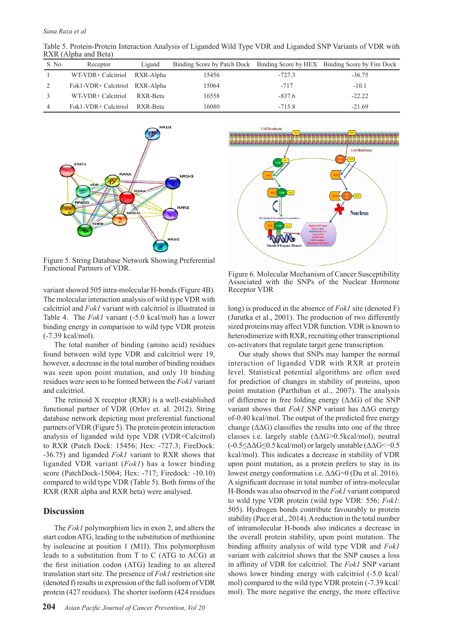Table 5. Protein-Protein Interaction Analysis of Liganded Wild Type VDR and Liganded SNP Variants of VDR with RXR (Alpha and Beta)

| S. No. | Receptor                       | Ligand   | Binding Score by Patch Dock Binding Score by HEX Binding Score by Fire Dock |          |          |
|--------|--------------------------------|----------|-----------------------------------------------------------------------------|----------|----------|
|        | WT-VDR+ Calcitriol RXR-Alpha   |          | 15456                                                                       | $-727.3$ | $-36.75$ |
|        | Fok1-VDR+ Calcitriol RXR-Alpha |          | 15064                                                                       | $-717$   | $-10.1$  |
|        | WT-VDR+ Calcitriol             | RXR-Beta | 16558                                                                       | $-837.6$ | $-22.22$ |
| 4      | Fok1-VDR+ Calcitriol           | RXR-Beta | 16080                                                                       | $-715.8$ | $-21.69$ |



Figure 5. String Database Network Showing Preferential Functional Partners of VDR.

variant showed 505 intra-molecular H-bonds (Figure 4B). The molecular interaction analysis of wild type VDR with calcitriol and *Fok1* variant with calcitriol is illustrated in Table 4. The *Fok1* variant (-5.0 kcal/mol) has a lower binding energy in comparison to wild type VDR protein (-7.39 kcal/mol).

The total number of binding (amino acid) residues found between wild type VDR and calcitriol were 19, however, a decrease in the total number of binding residues was seen upon point mutation, and only 10 binding residues were seen to be formed between the *Fok1* variant and calcitriol.

The retinoid X receptor (RXR) is a well-established functional partner of VDR (Orlov et. al. 2012). String database network depicting most preferential functional partners of VDR (Figure 5). The protein-protein interaction analysis of liganded wild type VDR (VDR+Calcitrol) to RXR (Patch Dock: 15456; Hex: -727.3; FireDock: -36.75) and liganded *Fok1* variant to RXR shows that liganded VDR variant (*Fok1*) has a lower binding score (PatchDock-15064; Hex: -717; Firedock: -10.10) compared to wild type VDR (Table 5). Both forms of the RXR (RXR alpha and RXR beta) were analysed.

# **Discussion**

The *Fok1* polymorphism lies in exon 2, and alters the start codon ATG, leading to the substitution of methionine by isoleucine at position 1 (M1I). This polymorphism leads to a substitution from T to C (ATG to ACG) at the first initiation codon (ATG) leading to an altered translation start site. The presence of *Fok1* restriction site (denoted f) results in expression of the full isoform of VDR protein (427 residues). The shorter isoform (424 residues



Figure 6. Molecular Mechanism of Cancer Susceptibility Associated with the SNPs of the Nuclear Hormone Receptor VDR

long) is produced in the absence of *Fok1* site (denoted F) (Jurutka et al., 2001). The production of two differently sized proteins may affect VDR function. VDR is known to heterodimerize with RXR, recruiting other transcriptional co-activators that regulate target gene transcription.

Our study shows that SNPs may hamper the normal interaction of liganded VDR with RXR at protein level. Statistical potential algorithms are often used for prediction of changes in stability of proteins, upon point mutation (Parthiban et al., 2007). The analysis of difference in free folding energy  $(∆∆G)$  of the SNP variant shows that *Fok1* SNP variant has ΔΔG energy of-0.40 kcal/mol. The output of the predicted free energy change  $(\Delta\Delta G)$  classifies the results into one of the three classes i.e. largely stable (ΔΔG>0.5kcal/mol), neutral  $(-0.5 \leq \Delta \Delta G \leq 0.5 \text{ kcal/mol})$  or largely unstable ( $\Delta \Delta G \leq -0.5$ ) kcal/mol). This indicates a decrease in stability of VDR upon point mutation, as a protein prefers to stay in its lowest energy conformation i.e. ΔΔG=0 (Du et al. 2016). A significant decrease in total number of intra-molecular H-Bonds was also observed in the *Fok1* variant compared to wild type VDR protein (wild type VDR: 556; *Fok1*: 505). Hydrogen bonds contribute favourably to protein stability (Pace et al., 2014). A reduction in the total number of intramolecular H-bonds also indicates a decrease in the overall protein stability, upon point mutation. The binding affinity analysis of wild type VDR and *Fok1* variant with calcitriol shows that the SNP causes a loss in affinity of VDR for calcitriol. The *Fok1* SNP variant shows lower binding energy with calcitriol (-5.0 kcal/ mol) compared to the wild type VDR protein (-7.39 kcal/ mol). The more negative the energy, the more effective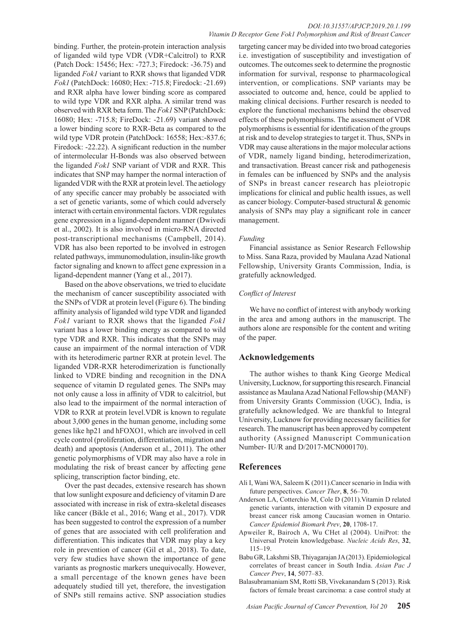#### *DOI:10.31557/APJCP.2019.20.1.199 Vitamin D Receptor Gene Fok1 Polymorphism and Risk of Breast Cancer*

binding. Further, the protein-protein interaction analysis of liganded wild type VDR (VDR+Calcitrol) to RXR (Patch Dock: 15456; Hex: -727.3; Firedock: -36.75) and liganded *Fok1* variant to RXR shows that liganded VDR *Fok1* (PatchDock: 16080; Hex: -715.8; Firedock: -21.69) and RXR alpha have lower binding score as compared to wild type VDR and RXR alpha. A similar trend was observed with RXR beta form. The *Fok1* SNP (PatchDock: 16080; Hex: -715.8; FireDock: -21.69) variant showed a lower binding score to RXR-Beta as compared to the wild type VDR protein (PatchDock: 16558; Hex:-837.6; Firedock: -22.22). A significant reduction in the number of intermolecular H-Bonds was also observed between the liganded *Fok1* SNP variant of VDR and RXR. This indicates that SNP may hamper the normal interaction of liganded VDR with the RXR at protein level. The aetiology of any specific cancer may probably be associated with a set of genetic variants, some of which could adversely interact with certain environmental factors. VDR regulates gene expression in a ligand-dependent manner (Dwivedi et al., 2002). It is also involved in micro-RNA directed post-transcriptional mechanisms (Campbell, 2014). VDR has also been reported to be involved in estrogen related pathways, immunomodulation, insulin-like growth factor signaling and known to affect gene expression in a ligand-dependent manner (Yang et al., 2017).

Based on the above observations, we tried to elucidate the mechanism of cancer susceptibility associated with the SNPs of VDR at protein level (Figure 6). The binding affinity analysis of liganded wild type VDR and liganded *Fok1* variant to RXR shows that the liganded *Fok1* variant has a lower binding energy as compared to wild type VDR and RXR. This indicates that the SNPs may cause an impairment of the normal interaction of VDR with its heterodimeric partner RXR at protein level. The liganded VDR-RXR heterodimerization is functionally linked to VDRE binding and recognition in the DNA sequence of vitamin D regulated genes. The SNPs may not only cause a loss in affinity of VDR to calcitriol, but also lead to the impairment of the normal interaction of VDR to RXR at protein level.VDR is known to regulate about 3,000 genes in the human genome, including some genes like hp21 and hFOXO1, which are involved in cell cycle control (proliferation, differentiation, migration and death) and apoptosis (Anderson et al., 2011). The other genetic polymorphisms of VDR may also have a role in modulating the risk of breast cancer by affecting gene splicing, transcription factor binding, etc.

Over the past decades, extensive research has shown that low sunlight exposure and deficiency of vitamin D are associated with increase in risk of extra-skeletal diseases like cancer (Bikle et al., 2016; Wang et al., 2017). VDR has been suggested to control the expression of a number of genes that are associated with cell proliferation and differentiation. This indicates that VDR may play a key role in prevention of cancer (Gil et al., 2018). To date, very few studies have shown the importance of gene variants as prognostic markers unequivocally. However, a small percentage of the known genes have been adequately studied till yet, therefore, the investigation of SNPs still remains active. SNP association studies

targeting cancer may be divided into two broad categories i.e. investigation of susceptibility and investigation of outcomes. The outcomes seek to determine the prognostic information for survival, response to pharmacological intervention, or complications. SNP variants may be associated to outcome and, hence, could be applied to making clinical decisions. Further research is needed to explore the functional mechanisms behind the observed effects of these polymorphisms. The assessment of VDR polymorphisms is essential for identification of the groups at risk and to develop strategies to target it. Thus, SNPs in VDR may cause alterations in the major molecular actions of VDR, namely ligand binding, heterodimerization, and transactivation. Breast cancer risk and pathogenesis in females can be influenced by SNPs and the analysis of SNPs in breast cancer research has pleiotropic implications for clinical and public health issues, as well as cancer biology. Computer-based structural & genomic analysis of SNPs may play a significant role in cancer management.

# *Funding*

Financial assistance as Senior Research Fellowship to Miss. Sana Raza, provided by Maulana Azad National Fellowship, University Grants Commission, India, is gratefully acknowledged.

#### *Conflict of Interest*

We have no conflict of interest with anybody working in the area and among authors in the manuscript. The authors alone are responsible for the content and writing of the paper.

# **Acknowledgements**

The author wishes to thank King George Medical University, Lucknow, for supporting this research. Financial assistance as Maulana Azad National Fellowship (MANF) from University Grants Commission (UGC), India, is gratefully acknowledged. We are thankful to Integral University, Lucknow for providing necessary facilities for research. The manuscript has been approved by competent authority (Assigned Manuscript Communication Number- IU/R and D/2017-MCN000170).

# **References**

- Ali I, Wani WA, Saleem K (2011).Cancer scenario in India with future perspectives. *Cancer Ther*, **8**, 56–70.
- Anderson LA, Cotterchio M, Cole D (2011).Vitamin D related genetic variants, interaction with vitamin D exposure and breast cancer risk among Caucasian women in Ontario. *Cancer Epidemiol Biomark Prev*, **20**, 1708-17.
- Apweiler R, Bairoch A, Wu CHet al (2004). UniProt: the Universal Protein knowledgebase. *Nucleic Acids Res*, **32**, 115–19.
- Babu GR, Lakshmi SB, Thiyagarajan JA (2013). Epidemiological correlates of breast cancer in South India. *Asian Pac J Cancer Prev*, **14**, 5077–83.
- Balasubramaniam SM, Rotti SB, Vivekanandam S (2013). Risk factors of female breast carcinoma: a case control study at